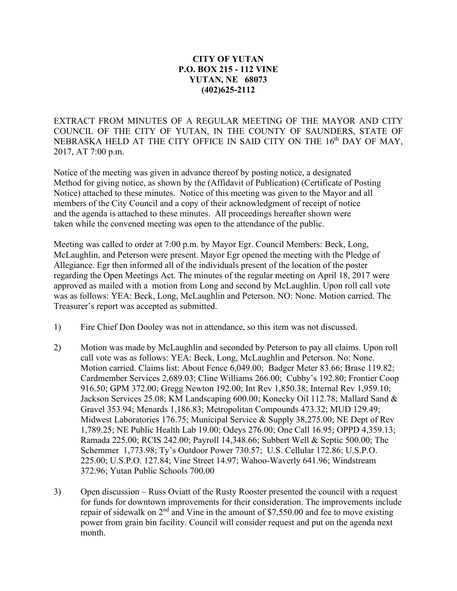## **CITY OF YUTAN P.O. BOX 215 - 112 VINE YUTAN, NE 68073 (402)625-2112**

EXTRACT FROM MINUTES OF A REGULAR MEETING OF THE MAYOR AND CITY COUNCIL OF THE CITY OF YUTAN, IN THE COUNTY OF SAUNDERS, STATE OF NEBRASKA HELD AT THE CITY OFFICE IN SAID CITY ON THE 16<sup>th</sup> DAY OF MAY, 2017, AT 7:00 p.m.

Notice of the meeting was given in advance thereof by posting notice, a designated Method for giving notice, as shown by the (Affidavit of Publication) (Certificate of Posting Notice) attached to these minutes. Notice of this meeting was given to the Mayor and all members of the City Council and a copy of their acknowledgment of receipt of notice and the agenda is attached to these minutes. All proceedings hereafter shown were taken while the convened meeting was open to the attendance of the public.

Meeting was called to order at 7:00 p.m. by Mayor Egr. Council Members: Beck, Long, McLaughlin, and Peterson were present. Mayor Egr opened the meeting with the Pledge of Allegiance. Egr then informed all of the individuals present of the location of the poster regarding the Open Meetings Act. The minutes of the regular meeting on April 18, 2017 were approved as mailed with a motion from Long and second by McLaughlin. Upon roll call vote was as follows: YEA: Beck, Long, McLaughlin and Peterson. NO: None. Motion carried. The Treasurer's report was accepted as submitted.

- 1) Fire Chief Don Dooley was not in attendance, so this item was not discussed.
- 2) Motion was made by McLaughlin and seconded by Peterson to pay all claims. Upon roll call vote was as follows: YEA: Beck, Long, McLaughlin and Peterson. No: None. Motion carried. Claims list: About Fence 6,049.00; Badger Meter 83.66; Brase 119.82; Cardmember Services 2,689.03; Cline Williams 266.00; Cubby's 192.80; Frontier Coop 916.50; GPM 372.00; Gregg Newton 192.00; Int Rev 1,850.38; Internal Rev 1,959.10; Jackson Services 25.08; KM Landscaping 600.00; Konecky Oil 112.78; Mallard Sand & Gravel 353.94; Menards 1,186.83; Metropolitan Compounds 473.32; MUD 129.49; Midwest Laboratories 176.75; Municipal Service & Supply 38,275.00; NE Dept of Rev 1,789.25; NE Public Health Lab 19.00; Odeys 276.00; One Call 16.95; OPPD 4,359.13; Ramada 225.00; RCIS 242.00; Payroll 14,348.66; Subbert Well & Septic 500.00; The Schemmer 1,773.98; Ty's Outdoor Power 730.57; U.S. Cellular 172.86; U.S.P.O. 225.00; U.S.P.O. 127.84; Vine Street 14.97; Wahoo-Waverly 641.96; Windstream 372.96; Yutan Public Schools 700.00
- 3) Open discussion Russ Oviatt of the Rusty Rooster presented the council with a request for funds for downtown improvements for their consideration. The improvements include repair of sidewalk on  $2<sup>nd</sup>$  and Vine in the amount of \$7,550.00 and fee to move existing power from grain bin facility. Council will consider request and put on the agenda next month.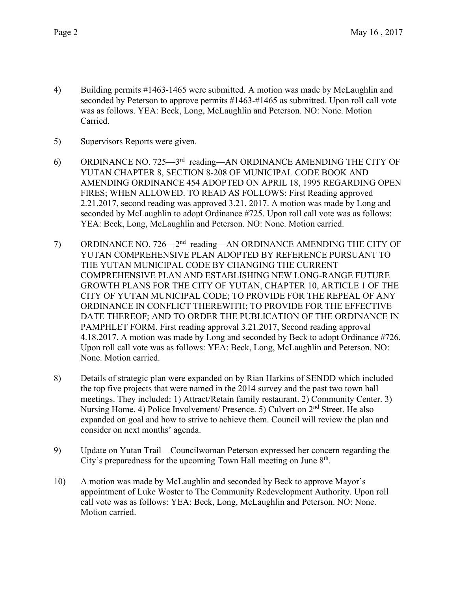- 4) Building permits #1463-1465 were submitted. A motion was made by McLaughlin and seconded by Peterson to approve permits #1463-#1465 as submitted. Upon roll call vote was as follows. YEA: Beck, Long, McLaughlin and Peterson. NO: None. Motion Carried.
- 5) Supervisors Reports were given.
- 6) ORDINANCE NO. 725—3rd reading—AN ORDINANCE AMENDING THE CITY OF YUTAN CHAPTER 8, SECTION 8-208 OF MUNICIPAL CODE BOOK AND AMENDING ORDINANCE 454 ADOPTED ON APRIL 18, 1995 REGARDING OPEN FIRES; WHEN ALLOWED. TO READ AS FOLLOWS: First Reading approved 2.21.2017, second reading was approved 3.21. 2017. A motion was made by Long and seconded by McLaughlin to adopt Ordinance #725. Upon roll call vote was as follows: YEA: Beck, Long, McLaughlin and Peterson. NO: None. Motion carried.
- 7) ORDINANCE NO. 726—2<sup>nd</sup> reading—AN ORDINANCE AMENDING THE CITY OF YUTAN COMPREHENSIVE PLAN ADOPTED BY REFERENCE PURSUANT TO THE YUTAN MUNICIPAL CODE BY CHANGING THE CURRENT COMPREHENSIVE PLAN AND ESTABLISHING NEW LONG-RANGE FUTURE GROWTH PLANS FOR THE CITY OF YUTAN, CHAPTER 10, ARTICLE 1 OF THE CITY OF YUTAN MUNICIPAL CODE; TO PROVIDE FOR THE REPEAL OF ANY ORDINANCE IN CONFLICT THEREWITH; TO PROVIDE FOR THE EFFECTIVE DATE THEREOF; AND TO ORDER THE PUBLICATION OF THE ORDINANCE IN PAMPHLET FORM. First reading approval 3.21.2017, Second reading approval 4.18.2017. A motion was made by Long and seconded by Beck to adopt Ordinance #726. Upon roll call vote was as follows: YEA: Beck, Long, McLaughlin and Peterson. NO: None. Motion carried.
- 8) Details of strategic plan were expanded on by Rian Harkins of SENDD which included the top five projects that were named in the 2014 survey and the past two town hall meetings. They included: 1) Attract/Retain family restaurant. 2) Community Center. 3) Nursing Home. 4) Police Involvement/ Presence. 5) Culvert on 2<sup>nd</sup> Street. He also expanded on goal and how to strive to achieve them. Council will review the plan and consider on next months' agenda.
- 9) Update on Yutan Trail Councilwoman Peterson expressed her concern regarding the City's preparedness for the upcoming Town Hall meeting on June  $8<sup>th</sup>$ .
- 10) A motion was made by McLaughlin and seconded by Beck to approve Mayor's appointment of Luke Woster to The Community Redevelopment Authority. Upon roll call vote was as follows: YEA: Beck, Long, McLaughlin and Peterson. NO: None. Motion carried.